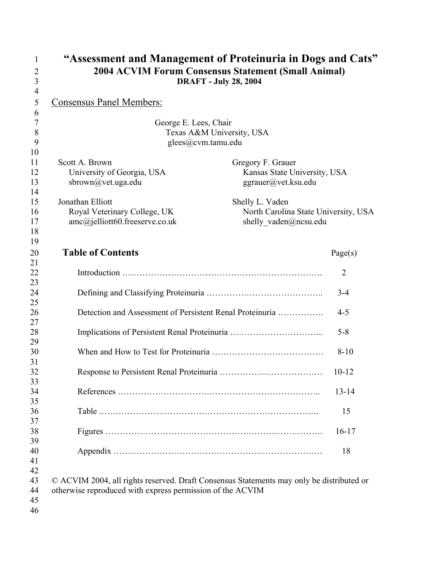| $\overline{2}$                   | "Assessment and Management of Proteinuria in Dogs and Cats"<br>2004 ACVIM Forum Consensus Statement (Small Animal)                                    |                                                     |                |
|----------------------------------|-------------------------------------------------------------------------------------------------------------------------------------------------------|-----------------------------------------------------|----------------|
| 3<br>$\overline{4}$              | <b>DRAFT - July 28, 2004</b>                                                                                                                          |                                                     |                |
| 5                                | <b>Consensus Panel Members:</b>                                                                                                                       |                                                     |                |
| 6                                |                                                                                                                                                       |                                                     |                |
| $\overline{7}$<br>8              | George E. Lees, Chair<br>Texas A&M University, USA                                                                                                    |                                                     |                |
| 9                                | glees@cvm.tamu.edu                                                                                                                                    |                                                     |                |
| 10                               |                                                                                                                                                       |                                                     |                |
| 11                               | Scott A. Brown                                                                                                                                        | Gregory F. Grauer                                   |                |
| 12<br>13                         | University of Georgia, USA<br>sbrown@vet.uga.edu                                                                                                      | Kansas State University, USA<br>ggrauer@vet.ksu.edu |                |
| 14                               |                                                                                                                                                       |                                                     |                |
| 15                               | Jonathan Elliott                                                                                                                                      | Shelly L. Vaden                                     |                |
| 16                               | Royal Veterinary College, UK                                                                                                                          | North Carolina State University, USA                |                |
| 17<br>18                         | amc@jelliott60.freeserve.co.uk                                                                                                                        | shelly vaden@ncsu.edu                               |                |
| 19                               |                                                                                                                                                       |                                                     |                |
| 20                               | <b>Table of Contents</b>                                                                                                                              |                                                     | Page(s)        |
| 21                               |                                                                                                                                                       |                                                     |                |
| 22<br>23                         |                                                                                                                                                       |                                                     | $\overline{2}$ |
| 24                               |                                                                                                                                                       |                                                     | $3 - 4$        |
| 25                               |                                                                                                                                                       |                                                     |                |
| 26<br>27                         | Detection and Assessment of Persistent Renal Proteinuria                                                                                              |                                                     | $4 - 5$        |
| 28<br>29                         |                                                                                                                                                       |                                                     | $5 - 8$        |
| 30                               |                                                                                                                                                       |                                                     | $8 - 10$       |
| 31<br>32                         |                                                                                                                                                       |                                                     | $10 - 12$      |
| 33<br>34                         |                                                                                                                                                       |                                                     | $13 - 14$      |
| 35<br>36                         |                                                                                                                                                       |                                                     | 15             |
| 37<br>38                         |                                                                                                                                                       |                                                     | $16-17$        |
| 39<br>40                         |                                                                                                                                                       |                                                     | 18             |
| 41<br>42<br>43<br>44<br>45<br>46 | © ACVIM 2004, all rights reserved. Draft Consensus Statements may only be distributed or<br>otherwise reproduced with express permission of the ACVIM |                                                     |                |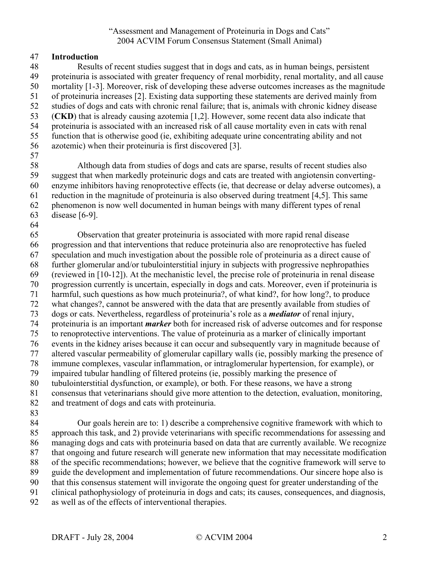# 47 **Introduction**

48 Results of recent studies suggest that in dogs and cats, as in human beings, persistent 49 proteinuria is associated with greater frequency of renal morbidity, renal mortality, and all cause 50 mortality [1-3]. Moreover, risk of developing these adverse outcomes increases as the magnitude 51 of proteinuria increases [2]. Existing data supporting these statements are derived mainly from 52 studies of dogs and cats with chronic renal failure; that is, animals with chronic kidney disease 53 (**CKD**) that is already causing azotemia [1,2]. However, some recent data also indicate that 54 proteinuria is associated with an increased risk of all cause mortality even in cats with renal 55 function that is otherwise good (ie, exhibiting adequate urine concentrating ability and not 56 azotemic) when their proteinuria is first discovered [3]. 57 58 Although data from studies of dogs and cats are sparse, results of recent studies also

59 suggest that when markedly proteinuric dogs and cats are treated with angiotensin converting-60 enzyme inhibitors having renoprotective effects (ie, that decrease or delay adverse outcomes), a 61 reduction in the magnitude of proteinuria is also observed during treatment [4,5]. This same 62 phenomenon is now well documented in human beings with many different types of renal 63 disease [6-9].

64

65 Observation that greater proteinuria is associated with more rapid renal disease 66 progression and that interventions that reduce proteinuria also are renoprotective has fueled 67 speculation and much investigation about the possible role of proteinuria as a direct cause of 68 further glomerular and/or tubulointerstitial injury in subjects with progressive nephropathies 69 (reviewed in [10-12]). At the mechanistic level, the precise role of proteinuria in renal disease 70 progression currently is uncertain, especially in dogs and cats. Moreover, even if proteinuria is 71 harmful, such questions as how much proteinuria?, of what kind?, for how long?, to produce 72 what changes?, cannot be answered with the data that are presently available from studies of 73 dogs or cats. Nevertheless, regardless of proteinuria's role as a *mediator* of renal injury, 74 proteinuria is an important *marker* both for increased risk of adverse outcomes and for response 75 to renoprotective interventions. The value of proteinuria as a marker of clinically important 76 events in the kidney arises because it can occur and subsequently vary in magnitude because of 77 altered vascular permeability of glomerular capillary walls (ie, possibly marking the presence of 78 immune complexes, vascular inflammation, or intraglomerular hypertension, for example), or 79 impaired tubular handling of filtered proteins (ie, possibly marking the presence of 80 tubulointerstitial dysfunction, or example), or both. For these reasons, we have a strong 81 consensus that veterinarians should give more attention to the detection, evaluation, monitoring, 82 and treatment of dogs and cats with proteinuria.

83

84 Our goals herein are to: 1) describe a comprehensive cognitive framework with which to 85 approach this task, and 2) provide veterinarians with specific recommendations for assessing and 86 managing dogs and cats with proteinuria based on data that are currently available. We recognize 87 that ongoing and future research will generate new information that may necessitate modification 88 of the specific recommendations; however, we believe that the cognitive framework will serve to 89 guide the development and implementation of future recommendations. Our sincere hope also is 90 that this consensus statement will invigorate the ongoing quest for greater understanding of the 91 clinical pathophysiology of proteinuria in dogs and cats; its causes, consequences, and diagnosis,

92 as well as of the effects of interventional therapies.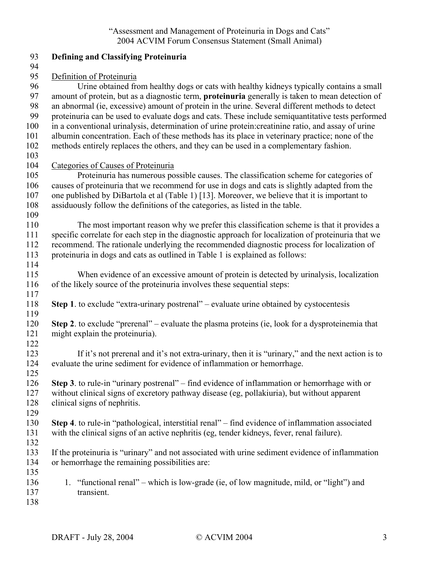| 93         | <b>Defining and Classifying Proteinuria</b>                                                             |
|------------|---------------------------------------------------------------------------------------------------------|
| 94<br>95   | Definition of Proteinuria                                                                               |
| 96         | Urine obtained from healthy dogs or cats with healthy kidneys typically contains a small                |
| 97         | amount of protein, but as a diagnostic term, <b>proteinuria</b> generally is taken to mean detection of |
| 98         | an abnormal (ie, excessive) amount of protein in the urine. Several different methods to detect         |
| 99         | proteinuria can be used to evaluate dogs and cats. These include semiquantitative tests performed       |
| 100        | in a conventional urinalysis, determination of urine protein: creatinine ratio, and assay of urine      |
| 101        | albumin concentration. Each of these methods has its place in veterinary practice; none of the          |
| 102        | methods entirely replaces the others, and they can be used in a complementary fashion.                  |
| 103        |                                                                                                         |
| 104        | Categories of Causes of Proteinuria                                                                     |
| 105        | Proteinuria has numerous possible causes. The classification scheme for categories of                   |
| 106        | causes of proteinuria that we recommend for use in dogs and cats is slightly adapted from the           |
| 107        | one published by DiBartola et al (Table 1) [13]. Moreover, we believe that it is important to           |
| 108        | assiduously follow the definitions of the categories, as listed in the table.                           |
| 109        |                                                                                                         |
| 110        | The most important reason why we prefer this classification scheme is that it provides a                |
| 111        | specific correlate for each step in the diagnostic approach for localization of proteinuria that we     |
| 112        | recommend. The rationale underlying the recommended diagnostic process for localization of              |
| 113        | proteinuria in dogs and cats as outlined in Table 1 is explained as follows:                            |
| 114        |                                                                                                         |
| 115        | When evidence of an excessive amount of protein is detected by urinalysis, localization                 |
| 116<br>117 | of the likely source of the proteinuria involves these sequential steps:                                |
| 118        | Step 1. to exclude "extra-urinary postrenal" – evaluate urine obtained by cystocentesis                 |
| 119        |                                                                                                         |
| 120        | <b>Step 2.</b> to exclude "prerenal" – evaluate the plasma proteins (ie, look for a dysproteinemia that |
| 121        | might explain the proteinuria).                                                                         |
| 122        |                                                                                                         |
| 123        | If it's not prerenal and it's not extra-urinary, then it is "urinary," and the next action is to        |
| 124        | evaluate the urine sediment for evidence of inflammation or hemorrhage.                                 |
| 125        |                                                                                                         |
| 126        | <b>Step 3</b> . to rule-in "urinary postrenal" – find evidence of inflammation or hemorrhage with or    |
| 127        | without clinical signs of excretory pathway disease (eg, pollakiuria), but without apparent             |
| 128        | clinical signs of nephritis.                                                                            |
| 129        |                                                                                                         |
| 130        | Step 4. to rule-in "pathological, interstitial renal" – find evidence of inflammation associated        |
| 131        | with the clinical signs of an active nephritis (eg, tender kidneys, fever, renal failure).              |
| 132        |                                                                                                         |
| 133        | If the proteinuria is "urinary" and not associated with urine sediment evidence of inflammation         |
| 134        | or hemorrhage the remaining possibilities are:                                                          |
| 135<br>136 | "functional renal" – which is low-grade (ie, of low magnitude, mild, or "light") and<br>1.              |
| 137        | transient.                                                                                              |
| 138        |                                                                                                         |
|            |                                                                                                         |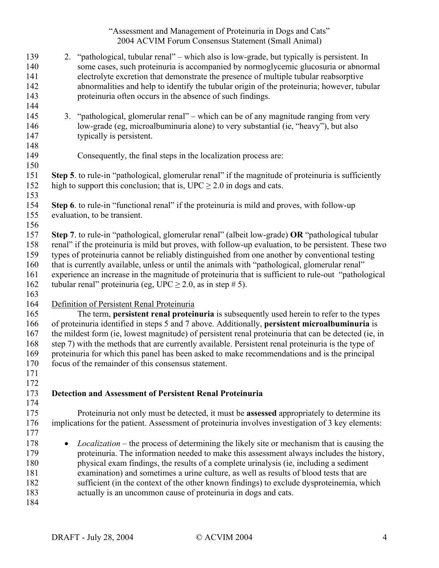| 139 |           | 2. "pathological, tubular renal" – which also is low-grade, but typically is persistent. In          |
|-----|-----------|------------------------------------------------------------------------------------------------------|
| 140 |           | some cases, such proteinuria is accompanied by normoglycemic glucosuria or abnormal                  |
| 141 |           | electrolyte excretion that demonstrate the presence of multiple tubular reabsorptive                 |
| 142 |           | abnormalities and help to identify the tubular origin of the proteinuria; however, tubular           |
| 143 |           | proteinuria often occurs in the absence of such findings.                                            |
| 144 |           |                                                                                                      |
| 145 |           | 3. "pathological, glomerular renal" – which can be of any magnitude ranging from very                |
| 146 |           | low-grade (eg, microalbuminuria alone) to very substantial (ie, "heavy"), but also                   |
| 147 |           | typically is persistent.                                                                             |
| 148 |           |                                                                                                      |
| 149 |           | Consequently, the final steps in the localization process are:                                       |
| 150 |           |                                                                                                      |
| 151 |           | Step 5. to rule-in "pathological, glomerular renal" if the magnitude of proteinuria is sufficiently  |
| 152 |           | high to support this conclusion; that is, $\text{UPC} \geq 2.0$ in dogs and cats.                    |
| 153 |           |                                                                                                      |
| 154 |           | Step 6. to rule-in "functional renal" if the proteinuria is mild and proves, with follow-up          |
| 155 |           | evaluation, to be transient.                                                                         |
|     |           |                                                                                                      |
| 156 |           |                                                                                                      |
| 157 |           | Step 7. to rule-in "pathological, glomerular renal" (albeit low-grade) OR "pathological tubular      |
| 158 |           | renal" if the proteinuria is mild but proves, with follow-up evaluation, to be persistent. These two |
| 159 |           | types of proteinuria cannot be reliably distinguished from one another by conventional testing       |
| 160 |           | that is currently available, unless or until the animals with "pathological, glomerular renal"       |
| 161 |           | experience an increase in the magnitude of proteinuria that is sufficient to rule-out "pathological" |
| 162 |           | tubular renal" proteinuria (eg, UPC $\geq$ 2.0, as in step # 5).                                     |
| 163 |           |                                                                                                      |
| 164 |           | Definition of Persistent Renal Proteinuria                                                           |
| 165 |           | The term, persistent renal proteinuria is subsequently used herein to refer to the types             |
| 166 |           | of proteinuria identified in steps 5 and 7 above. Additionally, persistent microalbuminuria is       |
| 167 |           | the mildest form (ie, lowest magnitude) of persistent renal proteinuria that can be detected (ie, in |
| 168 |           | step 7) with the methods that are currently available. Persistent renal proteinuria is the type of   |
| 169 |           | proteinuria for which this panel has been asked to make recommendations and is the principal         |
| 170 |           | focus of the remainder of this consensus statement.                                                  |
| 171 |           |                                                                                                      |
| 172 |           |                                                                                                      |
| 173 |           | <b>Detection and Assessment of Persistent Renal Proteinuria</b>                                      |
| 174 |           |                                                                                                      |
| 175 |           | Proteinuria not only must be detected, it must be assessed appropriately to determine its            |
| 176 |           | implications for the patient. Assessment of proteinuria involves investigation of 3 key elements:    |
| 177 |           |                                                                                                      |
| 178 | $\bullet$ | <i>Localization</i> – the process of determining the likely site or mechanism that is causing the    |
| 179 |           | proteinuria. The information needed to make this assessment always includes the history,             |
| 180 |           | physical exam findings, the results of a complete urinalysis (ie, including a sediment               |
| 181 |           | examination) and sometimes a urine culture, as well as results of blood tests that are               |
| 182 |           | sufficient (in the context of the other known findings) to exclude dysproteinemia, which             |
| 183 |           | actually is an uncommon cause of proteinuria in dogs and cats.                                       |
| 184 |           |                                                                                                      |
|     |           |                                                                                                      |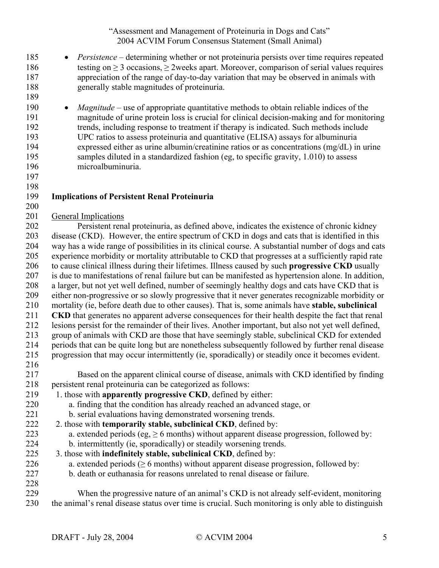185 • *Persistence* – determining whether or not proteinuria persists over time requires repeated 186 testing on  $\geq$  3 occasions,  $\geq$  2weeks apart. Moreover, comparison of serial values requires 187 appreciation of the range of day-to-day variation that may be observed in animals with 188 generally stable magnitudes of proteinuria. 189 190 • *Magnitude* – use of appropriate quantitative methods to obtain reliable indices of the 191 magnitude of urine protein loss is crucial for clinical decision-making and for monitoring 192 trends, including response to treatment if therapy is indicated. Such methods include 193 UPC ratios to assess proteinuria and quantitative (ELISA) assays for albuminuria 194 expressed either as urine albumin/creatinine ratios or as concentrations (mg/dL) in urine 195 samples diluted in a standardized fashion (eg, to specific gravity, 1.010) to assess<br>196 microalbuminuria. microalbuminuria. 197 198 199 **Implications of Persistent Renal Proteinuria**  200 201 General Implications 202 Persistent renal proteinuria, as defined above, indicates the existence of chronic kidney 203 disease (CKD). However, the entire spectrum of CKD in dogs and cats that is identified in this 204 way has a wide range of possibilities in its clinical course. A substantial number of dogs and cats 205 experience morbidity or mortality attributable to CKD that progresses at a sufficiently rapid rate 206 to cause clinical illness during their lifetimes. Illness caused by such **progressive CKD** usually 207 is due to manifestations of renal failure but can be manifested as hypertension alone. In addition, 208 a larger, but not yet well defined, number of seemingly healthy dogs and cats have CKD that is 209 either non-progressive or so slowly progressive that it never generates recognizable morbidity or 210 mortality (ie, before death due to other causes). That is, some animals have **stable, subclinical**  211 **CKD** that generates no apparent adverse consequences for their health despite the fact that renal 212 lesions persist for the remainder of their lives. Another important, but also not yet well defined, 213 group of animals with CKD are those that have seemingly stable, subclinical CKD for extended 214 periods that can be quite long but are nonetheless subsequently followed by further renal disease 215 progression that may occur intermittently (ie, sporadically) or steadily once it becomes evident. 216 217 Based on the apparent clinical course of disease, animals with CKD identified by finding 218 persistent renal proteinuria can be categorized as follows: 219 1. those with **apparently progressive CKD**, defined by either: 220 a. finding that the condition has already reached an advanced stage, or 221 b. serial evaluations having demonstrated worsening trends. 222 2. those with **temporarily stable, subclinical CKD**, defined by: 223 a. extended periods (eg,  $\geq 6$  months) without apparent disease progression, followed by: 224 b. intermittently (ie, sporadically) or steadily worsening trends. 225 3. those with **indefinitely stable, subclinical CKD**, defined by: 226 a. extended periods ( $\geq 6$  months) without apparent disease progression, followed by: 227 b. death or euthanasia for reasons unrelated to renal disease or failure. 228 229 When the progressive nature of an animal's CKD is not already self-evident, monitoring 230 the animal's renal disease status over time is crucial. Such monitoring is only able to distinguish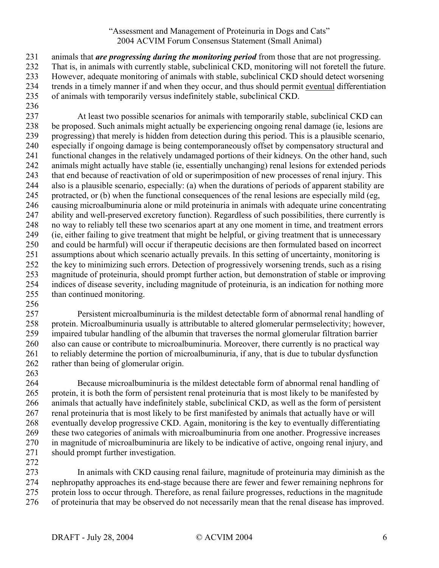231 animals that *are progressing during the monitoring period* from those that are not progressing. 232 That is, in animals with currently stable, subclinical CKD, monitoring will not foretell the future. 233 However, adequate monitoring of animals with stable, subclinical CKD should detect worsening 234 trends in a timely manner if and when they occur, and thus should permit eventual differentiation 235 of animals with temporarily versus indefinitely stable, subclinical CKD.

236

237 At least two possible scenarios for animals with temporarily stable, subclinical CKD can 238 be proposed. Such animals might actually be experiencing ongoing renal damage (ie, lesions are 239 progressing) that merely is hidden from detection during this period. This is a plausible scenario, 240 especially if ongoing damage is being contemporaneously offset by compensatory structural and 241 functional changes in the relatively undamaged portions of their kidneys. On the other hand, such 242 animals might actually have stable (ie, essentially unchanging) renal lesions for extended periods 243 that end because of reactivation of old or superimposition of new processes of renal injury. This 244 also is a plausible scenario, especially: (a) when the durations of periods of apparent stability are 245 protracted, or (b) when the functional consequences of the renal lesions are especially mild (eg, 246 causing microalbuminuria alone or mild proteinuria in animals with adequate urine concentrating 247 ability and well-preserved excretory function). Regardless of such possibilities, there currently is 248 no way to reliably tell these two scenarios apart at any one moment in time, and treatment errors 249 (ie, either failing to give treatment that might be helpful, or giving treatment that is unnecessary 250 and could be harmful) will occur if therapeutic decisions are then formulated based on incorrect 251 assumptions about which scenario actually prevails. In this setting of uncertainty, monitoring is 252 the key to minimizing such errors. Detection of progressively worsening trends, such as a rising 253 magnitude of proteinuria, should prompt further action, but demonstration of stable or improving 254 indices of disease severity, including magnitude of proteinuria, is an indication for nothing more 255 than continued monitoring.

256

257 Persistent microalbuminuria is the mildest detectable form of abnormal renal handling of 258 protein. Microalbuminuria usually is attributable to altered glomerular permselectivity; however, 259 impaired tubular handling of the albumin that traverses the normal glomerular filtration barrier 260 also can cause or contribute to microalbuminuria. Moreover, there currently is no practical way 261 to reliably determine the portion of microalbuminuria, if any, that is due to tubular dysfunction 262 rather than being of glomerular origin.

263

264 Because microalbuminuria is the mildest detectable form of abnormal renal handling of 265 protein, it is both the form of persistent renal proteinuria that is most likely to be manifested by 266 animals that actually have indefinitely stable, subclinical CKD, as well as the form of persistent 267 renal proteinuria that is most likely to be first manifested by animals that actually have or will 268 eventually develop progressive CKD. Again, monitoring is the key to eventually differentiating 269 these two categories of animals with microalbuminuria from one another. Progressive increases 270 in magnitude of microalbuminuria are likely to be indicative of active, ongoing renal injury, and 271 should prompt further investigation.

272

273 In animals with CKD causing renal failure, magnitude of proteinuria may diminish as the 274 nephropathy approaches its end-stage because there are fewer and fewer remaining nephrons for 275 protein loss to occur through. Therefore, as renal failure progresses, reductions in the magnitude 276 of proteinuria that may be observed do not necessarily mean that the renal disease has improved.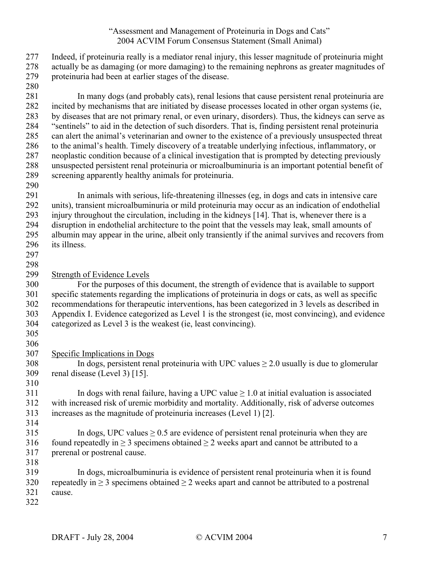| 277<br>278<br>279<br>280                                           | Indeed, if proteinuria really is a mediator renal injury, this lesser magnitude of proteinuria might<br>actually be as damaging (or more damaging) to the remaining nephrons as greater magnitudes of<br>proteinuria had been at earlier stages of the disease.                                                                                                                                                                                                                                                                                                                                                                                                                                                                                                                                                                                                                            |
|--------------------------------------------------------------------|--------------------------------------------------------------------------------------------------------------------------------------------------------------------------------------------------------------------------------------------------------------------------------------------------------------------------------------------------------------------------------------------------------------------------------------------------------------------------------------------------------------------------------------------------------------------------------------------------------------------------------------------------------------------------------------------------------------------------------------------------------------------------------------------------------------------------------------------------------------------------------------------|
| 281<br>282<br>283<br>284<br>285<br>286<br>287<br>288<br>289<br>290 | In many dogs (and probably cats), renal lesions that cause persistent renal proteinuria are<br>incited by mechanisms that are initiated by disease processes located in other organ systems (ie,<br>by diseases that are not primary renal, or even urinary, disorders). Thus, the kidneys can serve as<br>"sentinels" to aid in the detection of such disorders. That is, finding persistent renal proteinuria<br>can alert the animal's veterinarian and owner to the existence of a previously unsuspected threat<br>to the animal's health. Timely discovery of a treatable underlying infectious, inflammatory, or<br>neoplastic condition because of a clinical investigation that is prompted by detecting previously<br>unsuspected persistent renal proteinuria or microalbuminuria is an important potential benefit of<br>screening apparently healthy animals for proteinuria. |
| 291<br>292<br>293<br>294<br>295<br>296<br>297                      | In animals with serious, life-threatening illnesses (eg, in dogs and cats in intensive care<br>units), transient microalbuminuria or mild proteinuria may occur as an indication of endothelial<br>injury throughout the circulation, including in the kidneys [14]. That is, whenever there is a<br>disruption in endothelial architecture to the point that the vessels may leak, small amounts of<br>albumin may appear in the urine, albeit only transiently if the animal survives and recovers from<br>its illness.                                                                                                                                                                                                                                                                                                                                                                  |
| 298<br>299<br>300<br>301<br>302<br>303<br>304<br>305<br>306        | <b>Strength of Evidence Levels</b><br>For the purposes of this document, the strength of evidence that is available to support<br>specific statements regarding the implications of proteinuria in dogs or cats, as well as specific<br>recommendations for therapeutic interventions, has been categorized in 3 levels as described in<br>Appendix I. Evidence categorized as Level 1 is the strongest (ie, most convincing), and evidence<br>categorized as Level 3 is the weakest (ie, least convincing).                                                                                                                                                                                                                                                                                                                                                                               |
| 307<br>308<br>309<br>310                                           | Specific Implications in Dogs<br>In dogs, persistent renal proteinuria with UPC values $\geq 2.0$ usually is due to glomerular<br>renal disease (Level 3) [15].                                                                                                                                                                                                                                                                                                                                                                                                                                                                                                                                                                                                                                                                                                                            |
| 311<br>312<br>313<br>314                                           | In dogs with renal failure, having a UPC value $\geq 1.0$ at initial evaluation is associated<br>with increased risk of uremic morbidity and mortality. Additionally, risk of adverse outcomes<br>increases as the magnitude of proteinuria increases (Level 1) [2].                                                                                                                                                                                                                                                                                                                                                                                                                                                                                                                                                                                                                       |
| 315<br>316<br>317<br>318                                           | In dogs, UPC values $\geq 0.5$ are evidence of persistent renal proteinuria when they are<br>found repeatedly in $\geq 3$ specimens obtained $\geq 2$ weeks apart and cannot be attributed to a<br>prerenal or postrenal cause.                                                                                                                                                                                                                                                                                                                                                                                                                                                                                                                                                                                                                                                            |
| 319<br>320<br>321<br>322                                           | In dogs, microal buminuria is evidence of persistent renal proteinuria when it is found<br>repeatedly in $\geq$ 3 specimens obtained $\geq$ 2 weeks apart and cannot be attributed to a postrenal<br>cause.                                                                                                                                                                                                                                                                                                                                                                                                                                                                                                                                                                                                                                                                                |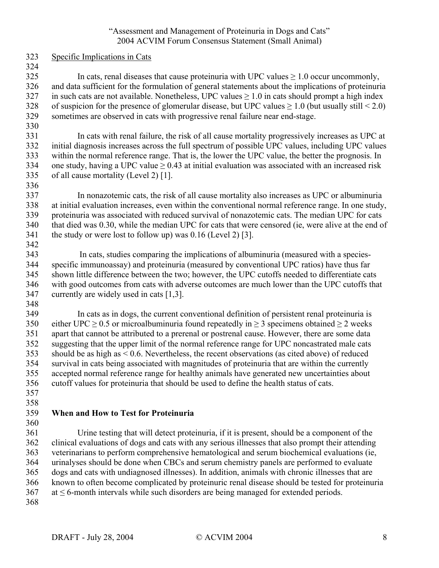- 323 Specific Implications in Cats
- 324

325 In cats, renal diseases that cause proteinuria with UPC values  $\geq 1.0$  occur uncommonly, 326 and data sufficient for the formulation of general statements about the implications of proteinuria 327 in such cats are not available. Nonetheless, UPC values  $> 1.0$  in cats should prompt a high index 328 of suspicion for the presence of glomerular disease, but UPC values  $\geq 1.0$  (but usually still < 2.0) 329 sometimes are observed in cats with progressive renal failure near end-stage.

330

331 In cats with renal failure, the risk of all cause mortality progressively increases as UPC at 332 initial diagnosis increases across the full spectrum of possible UPC values, including UPC values 333 within the normal reference range. That is, the lower the UPC value, the better the prognosis. In 334 one study, having a UPC value  $\geq$  0.43 at initial evaluation was associated with an increased risk 335 of all cause mortality (Level 2) [1].

336

337 In nonazotemic cats, the risk of all cause mortality also increases as UPC or albuminuria 338 at initial evaluation increases, even within the conventional normal reference range. In one study, 339 proteinuria was associated with reduced survival of nonazotemic cats. The median UPC for cats 340 that died was 0.30, while the median UPC for cats that were censored (ie, were alive at the end of 341 the study or were lost to follow up) was 0.16 (Level 2) [3]. 342

343 In cats, studies comparing the implications of albuminuria (measured with a species-344 specific immunoassay) and proteinuria (measured by conventional UPC ratios) have thus far 345 shown little difference between the two; however, the UPC cutoffs needed to differentiate cats 346 with good outcomes from cats with adverse outcomes are much lower than the UPC cutoffs that 347 currently are widely used in cats [1,3].

348

349 In cats as in dogs, the current conventional definition of persistent renal proteinuria is 350 either UPC > 0.5 or microalbuminuria found repeatedly in > 3 specimens obtained > 2 weeks 351 apart that cannot be attributed to a prerenal or postrenal cause. However, there are some data 352 suggesting that the upper limit of the normal reference range for UPC noncastrated male cats 353 should be as high as < 0.6. Nevertheless, the recent observations (as cited above) of reduced 354 survival in cats being associated with magnitudes of proteinuria that are within the currently 355 accepted normal reference range for healthy animals have generated new uncertainties about 356 cutoff values for proteinuria that should be used to define the health status of cats.

357 358

#### 359 **When and How to Test for Proteinuria**  360

361 Urine testing that will detect proteinuria, if it is present, should be a component of the 362 clinical evaluations of dogs and cats with any serious illnesses that also prompt their attending 363 veterinarians to perform comprehensive hematological and serum biochemical evaluations (ie, 364 urinalyses should be done when CBCs and serum chemistry panels are performed to evaluate 365 dogs and cats with undiagnosed illnesses). In addition, animals with chronic illnesses that are 366 known to often become complicated by proteinuric renal disease should be tested for proteinuria  $367$  at  $\leq$  6-month intervals while such disorders are being managed for extended periods. 368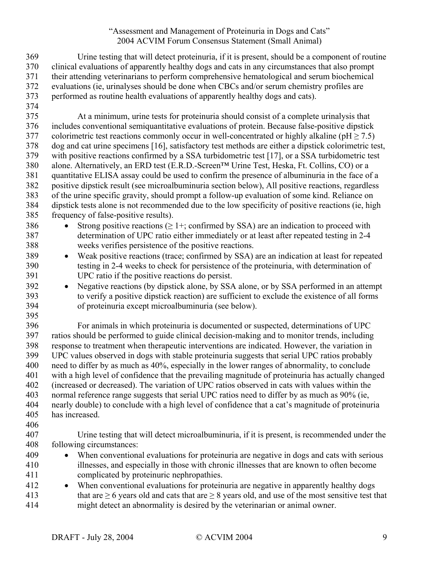369 Urine testing that will detect proteinuria, if it is present, should be a component of routine 370 clinical evaluations of apparently healthy dogs and cats in any circumstances that also prompt 371 their attending veterinarians to perform comprehensive hematological and serum biochemical 372 evaluations (ie, urinalyses should be done when CBCs and/or serum chemistry profiles are 373 performed as routine health evaluations of apparently healthy dogs and cats).

- 374 375 At a minimum, urine tests for proteinuria should consist of a complete urinalysis that 376 includes conventional semiquantitative evaluations of protein. Because false-positive dipstick 377 colorimetric test reactions commonly occur in well-concentrated or highly alkaline ( $pH \ge 7.5$ ) 378 dog and cat urine specimens [16], satisfactory test methods are either a dipstick colorimetric test, 379 with positive reactions confirmed by a SSA turbidometric test [17], or a SSA turbidometric test 380 alone. Alternatively, an ERD test (E.R.D.-Screen™ Urine Test, Heska, Ft. Collins, CO) or a 381 quantitative ELISA assay could be used to confirm the presence of albuminuria in the face of a 382 positive dipstick result (see microalbuminuria section below), All positive reactions, regardless 383 of the urine specific gravity, should prompt a follow-up evaluation of some kind. Reliance on 384 dipstick tests alone is not recommended due to the low specificity of positive reactions (ie, high 385 frequency of false-positive results).
- 386 Strong positive reactions ( $\geq$  1+; confirmed by SSA) are an indication to proceed with 387 determination of UPC ratio either immediately or at least after repeated testing in 2-4 388 weeks verifies persistence of the positive reactions.
- 389 Weak positive reactions (trace; confirmed by SSA) are an indication at least for repeated 390 testing in 2-4 weeks to check for persistence of the proteinuria, with determination of 391 UPC ratio if the positive reactions do persist.
- 392 Negative reactions (by dipstick alone, by SSA alone, or by SSA performed in an attempt 393 to verify a positive dipstick reaction) are sufficient to exclude the existence of all forms 394 of proteinuria except microalbuminuria (see below).
- 395

396 For animals in which proteinuria is documented or suspected, determinations of UPC 397 ratios should be performed to guide clinical decision-making and to monitor trends, including 398 response to treatment when therapeutic interventions are indicated. However, the variation in 399 UPC values observed in dogs with stable proteinuria suggests that serial UPC ratios probably 400 need to differ by as much as 40%, especially in the lower ranges of abnormality, to conclude 401 with a high level of confidence that the prevailing magnitude of proteinuria has actually changed 402 (increased or decreased). The variation of UPC ratios observed in cats with values within the 403 normal reference range suggests that serial UPC ratios need to differ by as much as 90% (ie, 404 nearly double) to conclude with a high level of confidence that a cat's magnitude of proteinuria

- 405 has increased.
- 406
- 407 Urine testing that will detect microalbuminuria, if it is present, is recommended under the 408 following circumstances:
- 409 When conventional evaluations for proteinuria are negative in dogs and cats with serious 410 illnesses, and especially in those with chronic illnesses that are known to often become 411 complicated by proteinuric nephropathies.
- 412 When conventional evaluations for proteinuria are negative in apparently healthy dogs 413 that are  $\geq 6$  years old and cats that are  $\geq 8$  years old, and use of the most sensitive test that 414 might detect an abnormality is desired by the veterinarian or animal owner.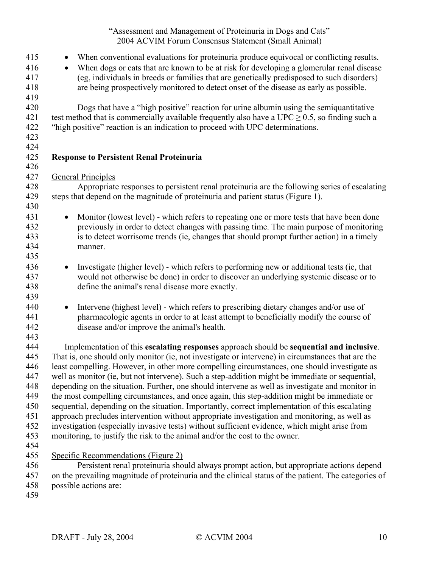| 415<br>416<br>417<br>418 | When conventional evaluations for proteinuria produce equivocal or conflicting results.<br>$\bullet$<br>When dogs or cats that are known to be at risk for developing a glomerular renal disease<br>$\bullet$<br>(eg, individuals in breeds or families that are genetically predisposed to such disorders)<br>are being prospectively monitored to detect onset of the disease as early as possible. |
|--------------------------|-------------------------------------------------------------------------------------------------------------------------------------------------------------------------------------------------------------------------------------------------------------------------------------------------------------------------------------------------------------------------------------------------------|
| 419<br>420<br>421        | Dogs that have a "high positive" reaction for urine albumin using the semiquantitative<br>test method that is commercially available frequently also have a UPC $\geq$ 0.5, so finding such a                                                                                                                                                                                                         |
| 422<br>423               | "high positive" reaction is an indication to proceed with UPC determinations.                                                                                                                                                                                                                                                                                                                         |
| 424<br>425<br>426        | <b>Response to Persistent Renal Proteinuria</b>                                                                                                                                                                                                                                                                                                                                                       |
| 427                      | <b>General Principles</b>                                                                                                                                                                                                                                                                                                                                                                             |
| 428                      | Appropriate responses to persistent renal proteinuria are the following series of escalating                                                                                                                                                                                                                                                                                                          |
| 429<br>430               | steps that depend on the magnitude of proteinuria and patient status (Figure 1).                                                                                                                                                                                                                                                                                                                      |
| 431                      | Monitor (lowest level) - which refers to repeating one or more tests that have been done<br>$\bullet$                                                                                                                                                                                                                                                                                                 |
| 432                      | previously in order to detect changes with passing time. The main purpose of monitoring                                                                                                                                                                                                                                                                                                               |
| 433                      | is to detect worrisome trends (ie, changes that should prompt further action) in a timely                                                                                                                                                                                                                                                                                                             |
| 434                      | manner.                                                                                                                                                                                                                                                                                                                                                                                               |
| 435                      |                                                                                                                                                                                                                                                                                                                                                                                                       |
| 436                      | Investigate (higher level) - which refers to performing new or additional tests (ie, that<br>$\bullet$                                                                                                                                                                                                                                                                                                |
| 437                      | would not otherwise be done) in order to discover an underlying systemic disease or to                                                                                                                                                                                                                                                                                                                |
| 438                      | define the animal's renal disease more exactly.                                                                                                                                                                                                                                                                                                                                                       |
| 439                      |                                                                                                                                                                                                                                                                                                                                                                                                       |
| 440                      | Intervene (highest level) - which refers to prescribing dietary changes and/or use of<br>$\bullet$                                                                                                                                                                                                                                                                                                    |
| 441                      | pharmacologic agents in order to at least attempt to beneficially modify the course of                                                                                                                                                                                                                                                                                                                |
| 442                      | disease and/or improve the animal's health.                                                                                                                                                                                                                                                                                                                                                           |
| 443<br>444               |                                                                                                                                                                                                                                                                                                                                                                                                       |
| 445                      | Implementation of this escalating responses approach should be sequential and inclusive.<br>That is, one should only monitor (ie, not investigate or intervene) in circumstances that are the                                                                                                                                                                                                         |
| 446                      | least compelling. However, in other more compelling circumstances, one should investigate as                                                                                                                                                                                                                                                                                                          |
| 447                      | well as monitor (ie, but not intervene). Such a step-addition might be immediate or sequential,                                                                                                                                                                                                                                                                                                       |
| 448                      | depending on the situation. Further, one should intervene as well as investigate and monitor in                                                                                                                                                                                                                                                                                                       |
| 449                      | the most compelling circumstances, and once again, this step-addition might be immediate or                                                                                                                                                                                                                                                                                                           |
| 450                      | sequential, depending on the situation. Importantly, correct implementation of this escalating                                                                                                                                                                                                                                                                                                        |
| 451                      | approach precludes intervention without appropriate investigation and monitoring, as well as                                                                                                                                                                                                                                                                                                          |
| 452                      | investigation (especially invasive tests) without sufficient evidence, which might arise from                                                                                                                                                                                                                                                                                                         |
| 453                      | monitoring, to justify the risk to the animal and/or the cost to the owner.                                                                                                                                                                                                                                                                                                                           |
| 454                      |                                                                                                                                                                                                                                                                                                                                                                                                       |
| 455                      | <b>Specific Recommendations (Figure 2)</b>                                                                                                                                                                                                                                                                                                                                                            |
| 456                      | Persistent renal proteinuria should always prompt action, but appropriate actions depend                                                                                                                                                                                                                                                                                                              |
| 457                      | on the prevailing magnitude of proteinuria and the clinical status of the patient. The categories of                                                                                                                                                                                                                                                                                                  |
| 458                      | possible actions are:                                                                                                                                                                                                                                                                                                                                                                                 |

459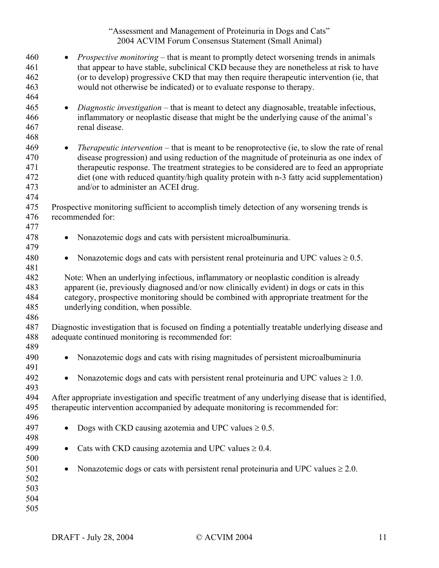| 460<br>461<br>462<br>463<br>464        | <i>Prospective monitoring</i> – that is meant to promptly detect worsening trends in animals<br>$\bullet$<br>that appear to have stable, subclinical CKD because they are nonetheless at risk to have<br>(or to develop) progressive CKD that may then require therapeutic intervention (ie, that<br>would not otherwise be indicated) or to evaluate response to therapy.                                                                    |
|----------------------------------------|-----------------------------------------------------------------------------------------------------------------------------------------------------------------------------------------------------------------------------------------------------------------------------------------------------------------------------------------------------------------------------------------------------------------------------------------------|
| 465<br>466<br>467<br>468               | Diagnostic investigation – that is meant to detect any diagnosable, treatable infectious,<br>$\bullet$<br>inflammatory or neoplastic disease that might be the underlying cause of the animal's<br>renal disease.                                                                                                                                                                                                                             |
| 469<br>470<br>471<br>472<br>473<br>474 | <i>Therapeutic intervention</i> – that is meant to be renoprotective (ie, to slow the rate of renal<br>$\bullet$<br>disease progression) and using reduction of the magnitude of proteinuria as one index of<br>therapeutic response. The treatment strategies to be considered are to feed an appropriate<br>diet (one with reduced quantity/high quality protein with n-3 fatty acid supplementation)<br>and/or to administer an ACEI drug. |
| 475<br>476<br>477                      | Prospective monitoring sufficient to accomplish timely detection of any worsening trends is<br>recommended for:                                                                                                                                                                                                                                                                                                                               |
| 478<br>479                             | Nonazotemic dogs and cats with persistent microalbuminuria.<br>$\bullet$                                                                                                                                                                                                                                                                                                                                                                      |
| 480<br>481                             | Nonazotemic dogs and cats with persistent renal proteinuria and UPC values $\geq 0.5$ .                                                                                                                                                                                                                                                                                                                                                       |
| 482<br>483<br>484<br>485<br>486        | Note: When an underlying infectious, inflammatory or neoplastic condition is already<br>apparent (ie, previously diagnosed and/or now clinically evident) in dogs or cats in this<br>category, prospective monitoring should be combined with appropriate treatment for the<br>underlying condition, when possible.                                                                                                                           |
| 487<br>488<br>489                      | Diagnostic investigation that is focused on finding a potentially treatable underlying disease and<br>adequate continued monitoring is recommended for:                                                                                                                                                                                                                                                                                       |
| 490<br>491                             | Nonazotemic dogs and cats with rising magnitudes of persistent microalbuminuria<br>$\bullet$                                                                                                                                                                                                                                                                                                                                                  |
| 492<br>493                             | Nonazotemic dogs and cats with persistent renal proteinuria and UPC values $\geq 1.0$ .                                                                                                                                                                                                                                                                                                                                                       |
| 494<br>495<br>496                      | After appropriate investigation and specific treatment of any underlying disease that is identified,<br>therapeutic intervention accompanied by adequate monitoring is recommended for:                                                                                                                                                                                                                                                       |
| 497<br>498                             | Dogs with CKD causing azotemia and UPC values $\geq 0.5$ .                                                                                                                                                                                                                                                                                                                                                                                    |
| 499<br>500                             | Cats with CKD causing azotemia and UPC values $\geq 0.4$ .<br>٠                                                                                                                                                                                                                                                                                                                                                                               |
| 501<br>502<br>503<br>504<br>505        | Nonazotemic dogs or cats with persistent renal proteinuria and UPC values $\geq 2.0$ .<br>٠                                                                                                                                                                                                                                                                                                                                                   |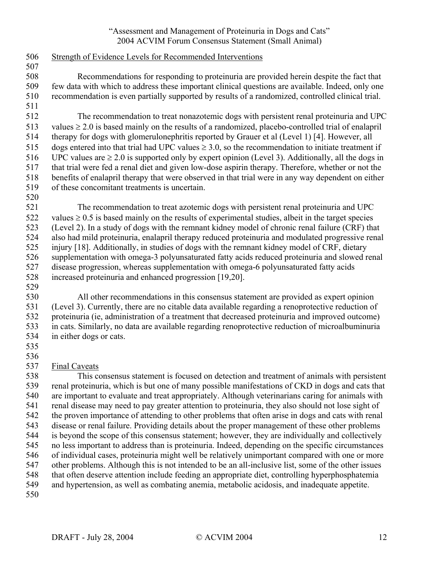| 506 | Strength of Evidence Levels for Recommended Interventions                                               |
|-----|---------------------------------------------------------------------------------------------------------|
| 507 |                                                                                                         |
| 508 | Recommendations for responding to proteinuria are provided herein despite the fact that                 |
| 509 | few data with which to address these important clinical questions are available. Indeed, only one       |
| 510 | recommendation is even partially supported by results of a randomized, controlled clinical trial.       |
| 511 |                                                                                                         |
| 512 | The recommendation to treat nonazotemic dogs with persistent renal proteinuria and UPC                  |
| 513 | values $\geq 2.0$ is based mainly on the results of a randomized, placebo-controlled trial of enalapril |
| 514 | therapy for dogs with glomerulonephritis reported by Grauer et al (Level 1) [4]. However, all           |
| 515 | dogs entered into that trial had UPC values $\geq 3.0$ , so the recommendation to initiate treatment if |
| 516 | UPC values are $\geq 2.0$ is supported only by expert opinion (Level 3). Additionally, all the dogs in  |
| 517 | that trial were fed a renal diet and given low-dose aspirin therapy. Therefore, whether or not the      |
| 518 | benefits of enalapril therapy that were observed in that trial were in any way dependent on either      |
| 519 | of these concomitant treatments is uncertain.                                                           |
| 520 |                                                                                                         |
| 521 | The recommendation to treat azotemic dogs with persistent renal proteinuria and UPC                     |
| 522 | values $\geq 0.5$ is based mainly on the results of experimental studies, albeit in the target species  |
| 523 | (Level 2). In a study of dogs with the remnant kidney model of chronic renal failure (CRF) that         |
| 524 | also had mild proteinuria, enalapril therapy reduced proteinuria and modulated progressive renal        |
| 525 | injury [18]. Additionally, in studies of dogs with the remnant kidney model of CRF, dietary             |
| 526 | supplementation with omega-3 polyunsaturated fatty acids reduced proteinuria and slowed renal           |
| 527 | disease progression, whereas supplementation with omega-6 polyunsaturated fatty acids                   |
| 528 | increased proteinuria and enhanced progression [19,20].                                                 |
| 529 |                                                                                                         |
| 530 | All other recommendations in this consensus statement are provided as expert opinion                    |
| 531 | (Level 3). Currently, there are no citable data available regarding a renoprotective reduction of       |
| 532 | proteinuria (ie, administration of a treatment that decreased proteinuria and improved outcome)         |
| 533 | in cats. Similarly, no data are available regarding renoprotective reduction of microalbuminuria        |
| 534 | in either dogs or cats.                                                                                 |
| 535 |                                                                                                         |
| 536 |                                                                                                         |
| 537 | <b>Final Caveats</b>                                                                                    |
| 538 | This consensus statement is focused on detection and treatment of animals with persistent               |
| 539 | renal proteinuria, which is but one of many possible manifestations of CKD in dogs and cats that        |
| 540 | are important to evaluate and treat appropriately. Although veterinarians caring for animals with       |
| 541 | renal disease may need to pay greater attention to proteinuria, they also should not lose sight of      |
| 542 | the proven importance of attending to other problems that often arise in dogs and cats with renal       |
| 543 | disease or renal failure. Providing details about the proper management of these other problems         |
| 544 | is beyond the scope of this consensus statement; however, they are individually and collectively        |
| 545 | no less important to address than is proteinuria. Indeed, depending on the specific circumstances       |
| 546 | of individual cases, proteinuria might well be relatively unimportant compared with one or more         |
| 547 | other problems. Although this is not intended to be an all-inclusive list, some of the other issues     |
| 548 | that often deserve attention include feeding an appropriate diet, controlling hyperphosphatemia         |
| 549 | and hypertension, as well as combating anemia, metabolic acidosis, and inadequate appetite.             |
| 550 |                                                                                                         |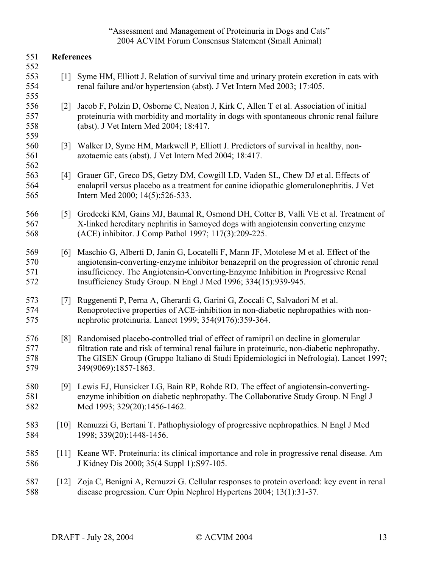| 551                      | <b>References</b>  |                                                                                                                                                                                                                                                                                                                                      |
|--------------------------|--------------------|--------------------------------------------------------------------------------------------------------------------------------------------------------------------------------------------------------------------------------------------------------------------------------------------------------------------------------------|
| 552<br>553<br>554<br>555 | $\lceil 1 \rceil$  | Syme HM, Elliott J. Relation of survival time and urinary protein excretion in cats with<br>renal failure and/or hypertension (abst). J Vet Intern Med 2003; 17:405.                                                                                                                                                                 |
| 556<br>557<br>558        | $\lceil 2 \rceil$  | Jacob F, Polzin D, Osborne C, Neaton J, Kirk C, Allen T et al. Association of initial<br>proteinuria with morbidity and mortality in dogs with spontaneous chronic renal failure<br>(abst). J Vet Intern Med 2004; 18:417.                                                                                                           |
| 559<br>560<br>561<br>562 | $\lceil 3 \rceil$  | Walker D, Syme HM, Markwell P, Elliott J. Predictors of survival in healthy, non-<br>azotaemic cats (abst). J Vet Intern Med 2004; 18:417.                                                                                                                                                                                           |
| 563<br>564<br>565        | [4]                | Grauer GF, Greco DS, Getzy DM, Cowgill LD, Vaden SL, Chew DJ et al. Effects of<br>enalapril versus placebo as a treatment for canine idiopathic glomerulonephritis. J Vet<br>Intern Med 2000; 14(5):526-533.                                                                                                                         |
| 566<br>567<br>568        | $\lceil 5 \rceil$  | Grodecki KM, Gains MJ, Baumal R, Osmond DH, Cotter B, Valli VE et al. Treatment of<br>X-linked hereditary nephritis in Samoyed dogs with angiotensin converting enzyme<br>(ACE) inhibitor. J Comp Pathol 1997; 117(3):209-225.                                                                                                       |
| 569<br>570<br>571<br>572 | [6]                | Maschio G, Alberti D, Janin G, Locatelli F, Mann JF, Motolese M et al. Effect of the<br>angiotensin-converting-enzyme inhibitor benazepril on the progression of chronic renal<br>insufficiency. The Angiotensin-Converting-Enzyme Inhibition in Progressive Renal<br>Insufficiency Study Group. N Engl J Med 1996; 334(15):939-945. |
| 573<br>574<br>575        | $[7]$              | Ruggenenti P, Perna A, Gherardi G, Garini G, Zoccali C, Salvadori M et al.<br>Renoprotective properties of ACE-inhibition in non-diabetic nephropathies with non-<br>nephrotic proteinuria. Lancet 1999; 354(9176):359-364.                                                                                                          |
| 576<br>577<br>578<br>579 | $\lceil 8 \rceil$  | Randomised placebo-controlled trial of effect of ramipril on decline in glomerular<br>filtration rate and risk of terminal renal failure in proteinuric, non-diabetic nephropathy.<br>The GISEN Group (Gruppo Italiano di Studi Epidemiologici in Nefrologia). Lancet 1997;<br>349(9069):1857-1863.                                  |
| 580<br>581<br>582        | [9]                | Lewis EJ, Hunsicker LG, Bain RP, Rohde RD. The effect of angiotensin-converting-<br>enzyme inhibition on diabetic nephropathy. The Collaborative Study Group. N Engl J<br>Med 1993; 329(20):1456-1462.                                                                                                                               |
| 583<br>584               | $\lceil 10 \rceil$ | Remuzzi G, Bertani T. Pathophysiology of progressive nephropathies. N Engl J Med<br>1998; 339(20): 1448-1456.                                                                                                                                                                                                                        |
| 585<br>586               | [11]               | Keane WF. Proteinuria: its clinical importance and role in progressive renal disease. Am<br>J Kidney Dis 2000; 35(4 Suppl 1): S97-105.                                                                                                                                                                                               |
| 587<br>588               | $\lceil 12 \rceil$ | Zoja C, Benigni A, Remuzzi G. Cellular responses to protein overload: key event in renal<br>disease progression. Curr Opin Nephrol Hypertens 2004; 13(1):31-37.                                                                                                                                                                      |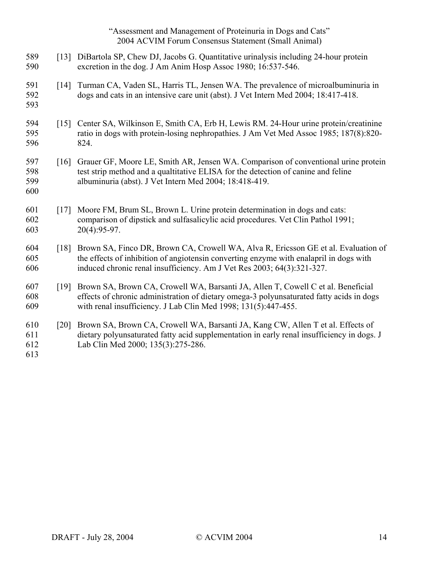- 589 [13] DiBartola SP, Chew DJ, Jacobs G. Quantitative urinalysis including 24-hour protein 590 excretion in the dog. J Am Anim Hosp Assoc 1980; 16:537-546.
- 591 [14] Turman CA, Vaden SL, Harris TL, Jensen WA. The prevalence of microalbuminuria in 592 dogs and cats in an intensive care unit (abst). J Vet Intern Med 2004; 18:417-418.
- 593 594 [15] Center SA, Wilkinson E, Smith CA, Erb H, Lewis RM. 24-Hour urine protein/creatinine
- 595 ratio in dogs with protein-losing nephropathies. J Am Vet Med Assoc 1985; 187(8):820- 596 824.
- 597 [16] Grauer GF, Moore LE, Smith AR, Jensen WA. Comparison of conventional urine protein 598 test strip method and a qualtitative ELISA for the detection of canine and feline 599 albuminuria (abst). J Vet Intern Med 2004; 18:418-419. 600
- 601 [17] Moore FM, Brum SL, Brown L. Urine protein determination in dogs and cats: 602 comparison of dipstick and sulfasalicylic acid procedures. Vet Clin Pathol 1991; 603 20(4):95-97.
- 604 [18] Brown SA, Finco DR, Brown CA, Crowell WA, Alva R, Ericsson GE et al. Evaluation of 605 the effects of inhibition of angiotensin converting enzyme with enalapril in dogs with 606 induced chronic renal insufficiency. Am J Vet Res 2003; 64(3):321-327.
- 607 [19] Brown SA, Brown CA, Crowell WA, Barsanti JA, Allen T, Cowell C et al. Beneficial 608 effects of chronic administration of dietary omega-3 polyunsaturated fatty acids in dogs 609 with renal insufficiency. J Lab Clin Med 1998; 131(5):447-455.
- 610 [20] Brown SA, Brown CA, Crowell WA, Barsanti JA, Kang CW, Allen T et al. Effects of 611 dietary polyunsaturated fatty acid supplementation in early renal insufficiency in dogs. J 612 Lab Clin Med 2000; 135(3):275-286.

613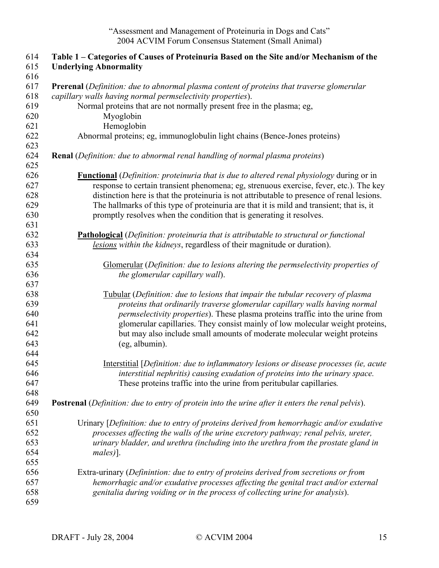| 614        | Table 1 – Categories of Causes of Proteinuria Based on the Site and/or Mechanism of the                 |
|------------|---------------------------------------------------------------------------------------------------------|
| 615        | <b>Underlying Abnormality</b>                                                                           |
| 616        |                                                                                                         |
| 617        | Prerenal (Definition: due to abnormal plasma content of proteins that traverse glomerular               |
| 618        | capillary walls having normal permselectivity properties).                                              |
| 619        | Normal proteins that are not normally present free in the plasma; eg,                                   |
| 620        | Myoglobin                                                                                               |
| 621        | Hemoglobin                                                                                              |
| 622<br>623 | Abnormal proteins; eg, immunoglobulin light chains (Bence-Jones proteins)                               |
| 624<br>625 | <b>Renal</b> (Definition: due to abnormal renal handling of normal plasma proteins)                     |
| 626        | <b>Functional</b> (Definition: proteinuria that is due to altered renal physiology during or in         |
| 627        | response to certain transient phenomena; eg, strenuous exercise, fever, etc.). The key                  |
| 628        | distinction here is that the proteinuria is not attributable to presence of renal lesions.              |
| 629        | The hallmarks of this type of proteinuria are that it is mild and transient; that is, it                |
| 630        | promptly resolves when the condition that is generating it resolves.                                    |
| 631        |                                                                                                         |
| 632        | <b>Pathological</b> (Definition: proteinuria that is attributable to structural or functional           |
| 633        | lesions within the kidneys, regardless of their magnitude or duration).                                 |
| 634        |                                                                                                         |
| 635        | Glomerular (Definition: due to lesions altering the permselectivity properties of                       |
| 636        | the glomerular capillary wall).                                                                         |
| 637        |                                                                                                         |
| 638        | Tubular (Definition: due to lesions that impair the tubular recovery of plasma                          |
| 639        | proteins that ordinarily traverse glomerular capillary walls having normal                              |
| 640        | permselectivity properties). These plasma proteins traffic into the urine from                          |
| 641        | glomerular capillaries. They consist mainly of low molecular weight proteins,                           |
| 642        | but may also include small amounts of moderate molecular weight proteins                                |
| 643        | (eg, albumin).                                                                                          |
| 644        |                                                                                                         |
| 645        | Interstitial [Definition: due to inflammatory lesions or disease processes (ie, acute                   |
| 646        | interstitial nephritis) causing exudation of proteins into the urinary space.                           |
| 647        | These proteins traffic into the urine from peritubular capillaries.                                     |
| 648        |                                                                                                         |
| 649        | <b>Postrenal</b> (Definition: due to entry of protein into the urine after it enters the renal pelvis). |
| 650        |                                                                                                         |
| 651        | Urinary [Definition: due to entry of proteins derived from hemorrhagic and/or exudative                 |
| 652        | processes affecting the walls of the urine excretory pathway; renal pelvis, ureter,                     |
| 653        | urinary bladder, and urethra (including into the urethra from the prostate gland in                     |
| 654        | males).                                                                                                 |
| 655        |                                                                                                         |
| 656        | Extra-urinary (Definintion: due to entry of proteins derived from secretions or from                    |
| 657        | hemorrhagic and/or exudative processes affecting the genital tract and/or external                      |
| 658        | genitalia during voiding or in the process of collecting urine for analysis).                           |
| 659        |                                                                                                         |
|            |                                                                                                         |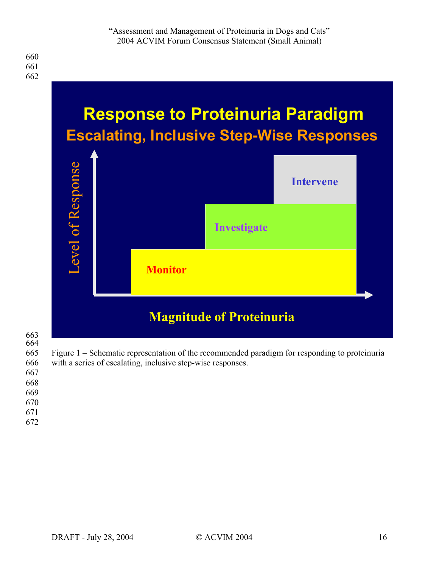

# 663

664 665 Figure 1 – Schematic representation of the recommended paradigm for responding to proteinuria

- 666 with a series of escalating, inclusive step-wise responses.
- 667 668
- 669
- 670
- 671
- 672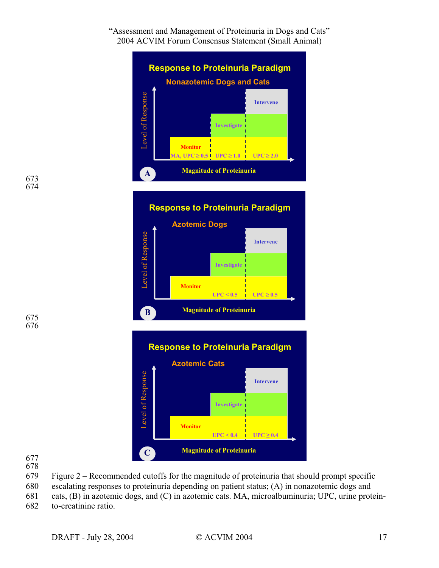

**Response to Proteinuria Paradigm**

**Azotemic Dogs**

674

676



678

- 679 Figure 2 Recommended cutoffs for the magnitude of proteinuria that should prompt specific
- 680 escalating responses to proteinuria depending on patient status; (A) in nonazotemic dogs and
- 681 cats, (B) in azotemic dogs, and (C) in azotemic cats. MA, microalbuminuria; UPC, urine protein-

682 to-creatinine ratio.